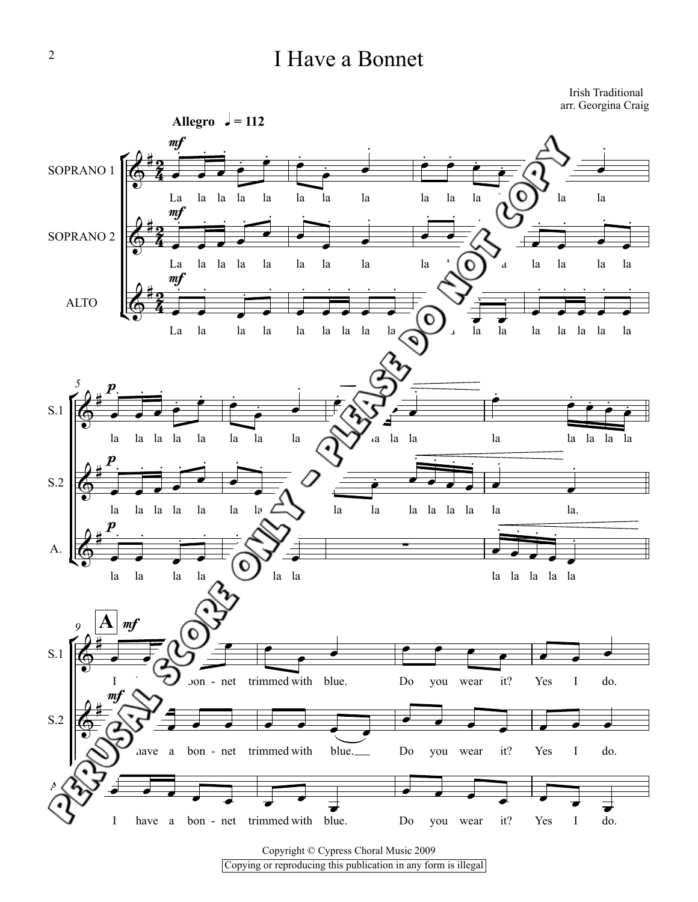## I Have a Bonnet

Irish Traditional arr. Georgina Craig



Copying or reproducing this publication in any form is illegal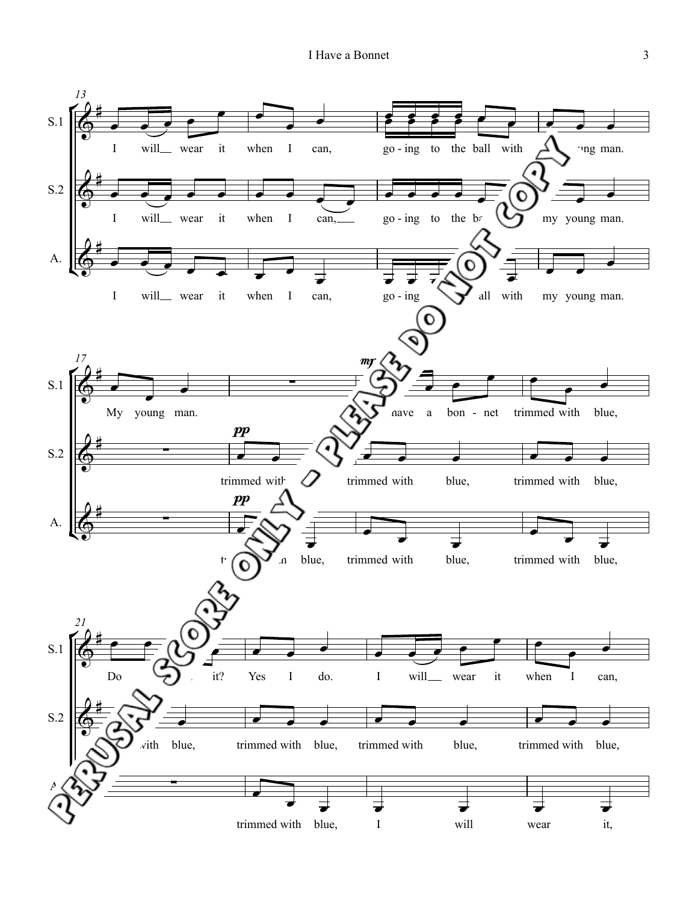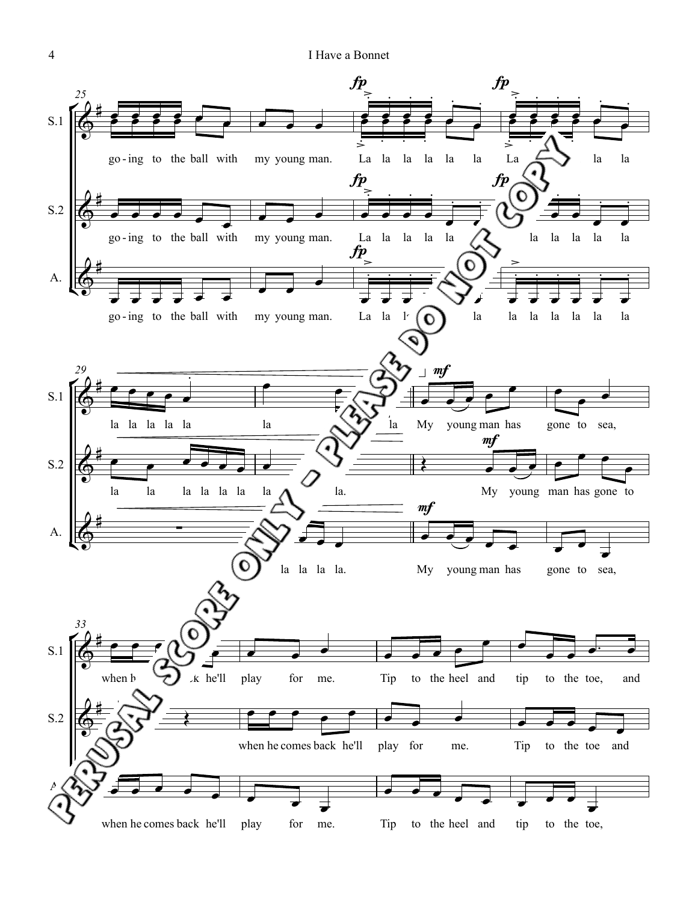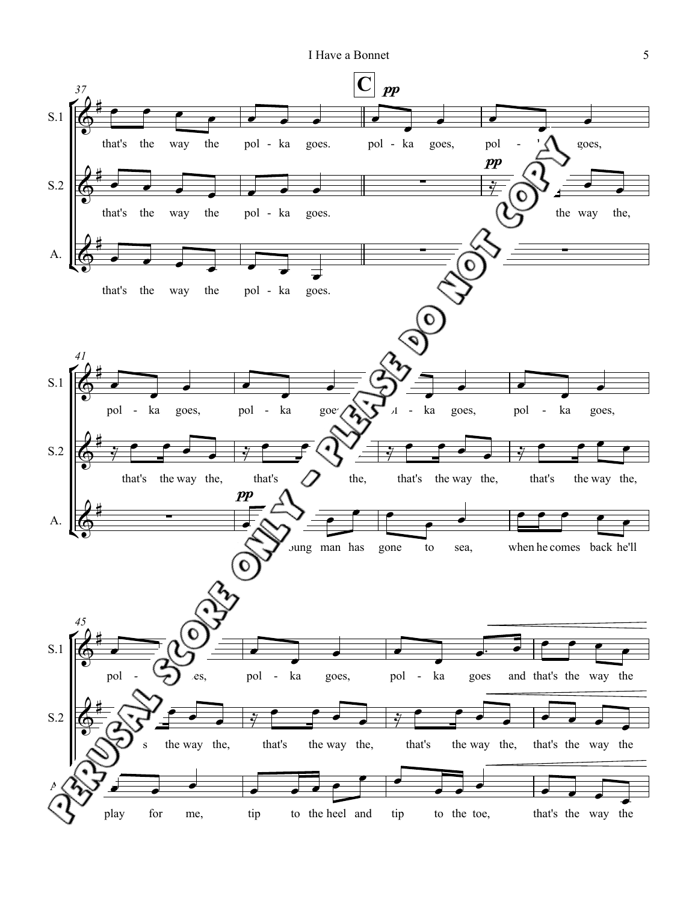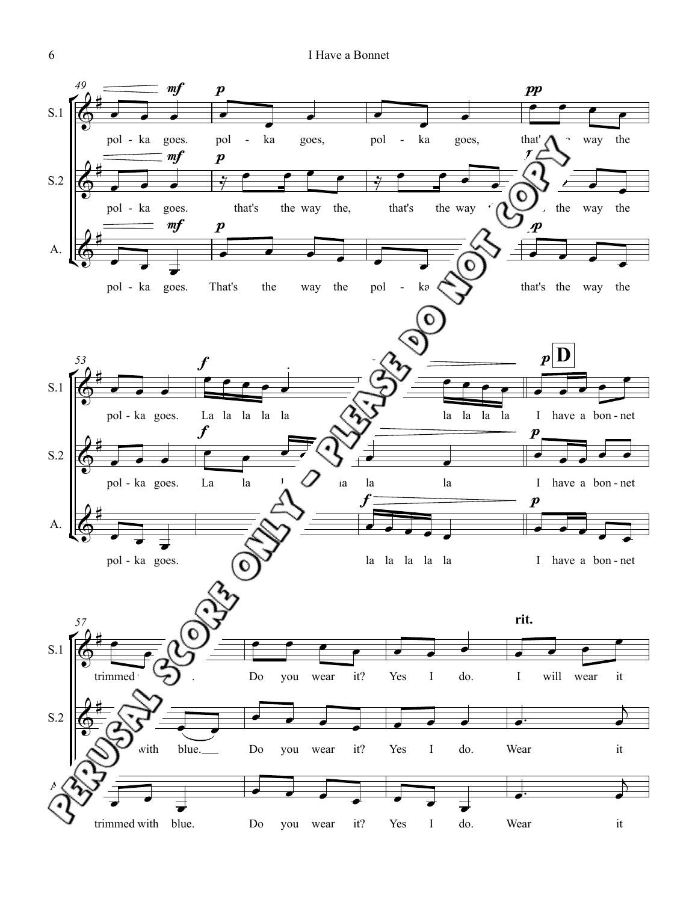6 I Have a Bonnet